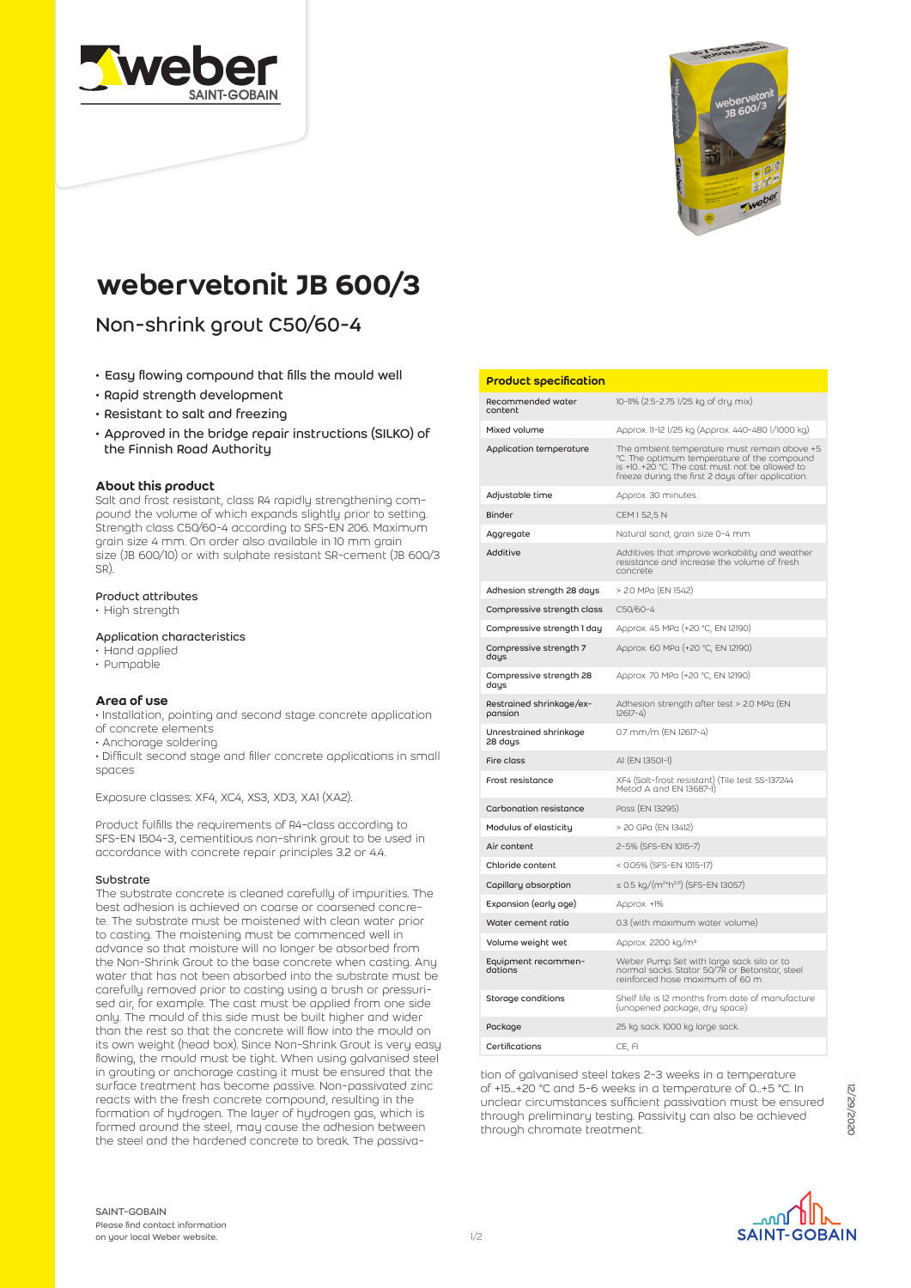



# webervetonit JB 600/3

Non-shrink grout C50/60-4

- Easy flowing compound that fills the mould well
- Rapid strength development
- Resistant to salt and freezing
- Approved in the bridge repair instructions (SILKO) of the Finnish Road Authority

## About this product

Salt and frost resistant, class R4 rapidly strengthening compound the volume of which expands slightly prior to setting. Strength class C50/60-4 according to SFS-EN 206. Maximum grain size 4 mm. On order also available in 10 mm grain size (JB 600/10) or with sulphate resistant SR-cement (JB 600/3 SR).

# Product attributes

• High strength

#### Application characteristics

- Hand applied
- Pumpable

## Area of use

• Installation, pointing and second stage concrete application of concrete elements

• Anchorage soldering

• Difficult second stage and filler concrete applications in small spaces

#### Exposure classes: XF4, XC4, XS3, XD3, XA1 (XA2).

Product fulfills the requirements of R4-class according to SFS-EN 1504-3, cementitious non-shrink grout to be used in accordance with concrete repair principles 3.2 or 4.4.

## Substrate

The substrate concrete is cleaned carefully of impurities. The best adhesion is achieved on coarse or coarsened concrete. The substrate must be moistened with clean water prior to casting. The moistening must be commenced well in advance so that moisture will no longer be absorbed from the Non-Shrink Grout to the base concrete when casting. Any water that has not been absorbed into the substrate must be carefully removed prior to casting using a brush or pressurised air, for example. The cast must be applied from one side only. The mould of this side must be built higher and wider than the rest so that the concrete will flow into the mould on its own weight (head box). Since Non-Shrink Grout is very easy flowing, the mould must be tight. When using galvanised steel in grouting or anchorage casting it must be ensured that the surface treatment has become passive. Non-passivated zinc reacts with the fresh concrete compound, resulting in the formation of hydrogen. The layer of hydrogen gas, which is formed around the steel, may cause the adhesion between the steel and the hardened concrete to break. The passiva-

#### Product specification

| Recommended water<br>content        | 10-11% (2.5-2.75 l/25 kg of dry mix)                                                                                                                                                              |
|-------------------------------------|---------------------------------------------------------------------------------------------------------------------------------------------------------------------------------------------------|
| Mixed volume                        | Approx. 11-12 1/25 kg (Approx. 440-480 1/1000 kg)                                                                                                                                                 |
| Application temperature             | The ambient temperature must remain above +5<br>°C. The optimum temperature of the compound<br>is +10+20 °C. The cast must not be allowed to<br>freeze during the first 2 days after application. |
| Adjustable time                     | Approx. 30 minutes.                                                                                                                                                                               |
| <b>Binder</b>                       | CEM I 52,5 N                                                                                                                                                                                      |
| Aggregate                           | Natural sand, grain size 0-4 mm                                                                                                                                                                   |
| Additive                            | Additives that improve workability and weather<br>resistance and increase the volume of fresh<br>concrete                                                                                         |
| Adhesion strength 28 days           | > 2.0 MPa (EN 1542)                                                                                                                                                                               |
| Compressive strength class          | C50/60-4                                                                                                                                                                                          |
| Compressive strength 1 day          | Approx. 45 MPa (+20 °C, EN 12190)                                                                                                                                                                 |
| Compressive strength 7<br>days      | Approx. 60 MPa (+20 °C, EN 12190)                                                                                                                                                                 |
| Compressive strength 28<br>days     | Approx. 70 MPa (+20 °C, EN 12190)                                                                                                                                                                 |
| Restrained shrinkage/ex-<br>pansion | Adhesion strength after test > 2.0 MPa (EN<br>$12617 - 4$                                                                                                                                         |
| Unrestrained shrinkage<br>28 days   | 0.7 mm/m (EN 12617-4)                                                                                                                                                                             |
| Fire class                          | AI (EN 13501-1)                                                                                                                                                                                   |
| Frost resistance                    | XF4 (Salt-frost resistant) (Tile test SS-137244<br>Metod A and EN 13687-1)                                                                                                                        |
| Carbonation resistance              | Pass (EN 13295)                                                                                                                                                                                   |
| Modulus of elasticity               | > 20 GPa (EN 13412)                                                                                                                                                                               |
| Air content                         | 2-5% (SFS-EN 1015-7)                                                                                                                                                                              |
| Chloride content                    | < 0.05% (SFS-EN 1015-17)                                                                                                                                                                          |
| Capillary absorption                | ≤ 0.5 kg/(m <sup>2</sup> *h <sup>0.5</sup> ) (SFS-EN 13057)                                                                                                                                       |
| Expansion (early age)               | Approx. +1%                                                                                                                                                                                       |
| Water cement ratio                  | 0.3 (with maximum water volume)                                                                                                                                                                   |
| Volume weight wet                   | Approx. 2200 kg/m <sup>3</sup>                                                                                                                                                                    |
| Equipment recommen-<br>dations      | Weber Pump Set with large sack silo or to<br>normal sacks. Stator 50/7R or Betonstar, steel<br>reinforced hose maximum of 60 m.                                                                   |
| Storage conditions                  | Shelf life is 12 months from date of manufacture<br>(unopened package, dry space)                                                                                                                 |
| Package                             | 25 kg sack. 1000 kg large sack.                                                                                                                                                                   |
| Certifications                      | CE, FI                                                                                                                                                                                            |

tion of galvanised steel takes 2-3 weeks in a temperature of +15...+20 °C and 5-6 weeks in a temperature of 0...+5 °C. In unclear circumstances sufficient passivation must be ensured through preliminary testing. Passivity can also be achieved through chromate treatment.

SAINT-GOBAIN Please find contact information on your local Weber website.